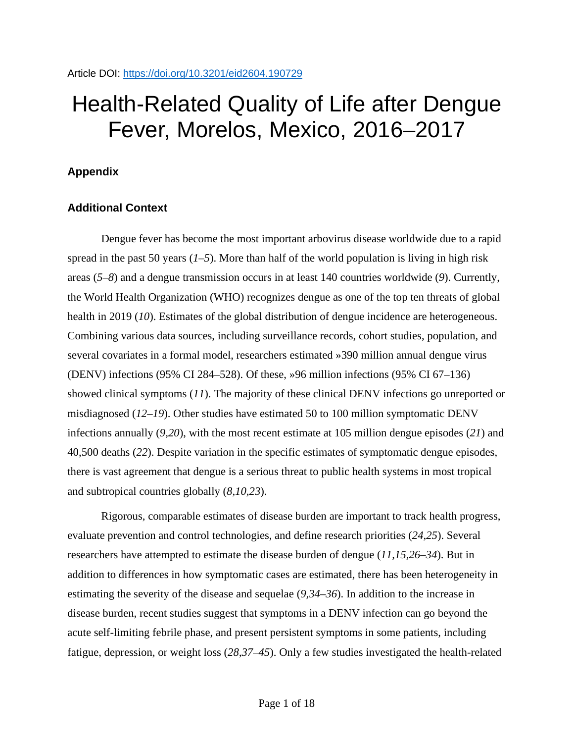# Health-Related Quality of Life after Dengue Fever, Morelos, Mexico, 2016–2017

## **Appendix**

## **Additional Context**

Dengue fever has become the most important arbovirus disease worldwide due to a rapid spread in the past 50 years (*1–5*). More than half of the world population is living in high risk areas (*5–8*) and a dengue transmission occurs in at least 140 countries worldwide (*9*). Currently, the World Health Organization (WHO) recognizes dengue as one of the top ten threats of global health in 2019 (*10*). Estimates of the global distribution of dengue incidence are heterogeneous. Combining various data sources, including surveillance records, cohort studies, population, and several covariates in a formal model, researchers estimated »390 million annual dengue virus (DENV) infections (95% CI 284–528). Of these, »96 million infections (95% CI 67–136) showed clinical symptoms (*11*). The majority of these clinical DENV infections go unreported or misdiagnosed (*12–19*). Other studies have estimated 50 to 100 million symptomatic DENV infections annually (*9,20*), with the most recent estimate at 105 million dengue episodes (*21*) and 40,500 deaths (*22*). Despite variation in the specific estimates of symptomatic dengue episodes, there is vast agreement that dengue is a serious threat to public health systems in most tropical and subtropical countries globally (*8,10,23*).

Rigorous, comparable estimates of disease burden are important to track health progress, evaluate prevention and control technologies, and define research priorities (*24,25*). Several researchers have attempted to estimate the disease burden of dengue (11,15,26–34). But in addition to differences in how symptomatic cases are estimated, there has been heterogeneity in estimating the severity of the disease and sequelae (*9,34–36*). In addition to the increase in disease burden, recent studies suggest that symptoms in a DENV infection can go beyond the acute self-limiting febrile phase, and present persistent symptoms in some patients, including fatigue, depression, or weight loss (*28,37–45*). Only a few studies investigated the health-related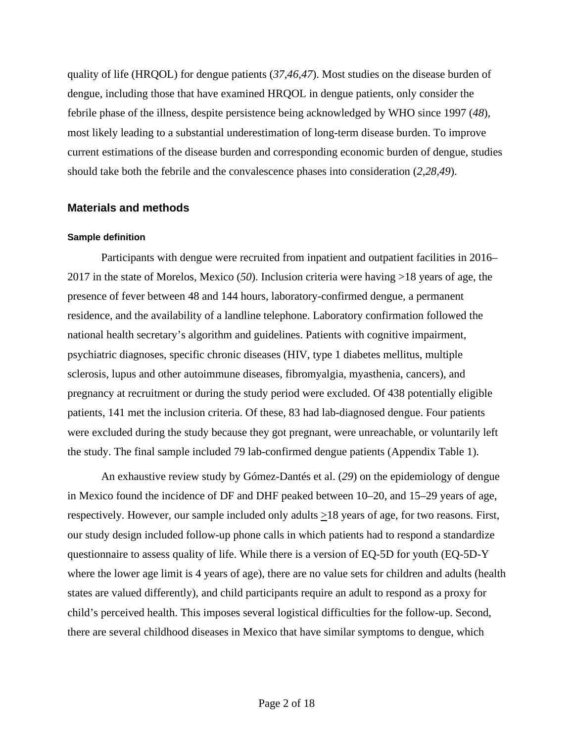quality of life (HRQOL) for dengue patients (*37,46,47*). Most studies on the disease burden of dengue, including those that have examined HRQOL in dengue patients, only consider the febrile phase of the illness, despite persistence being acknowledged by WHO since 1997 (*48*), most likely leading to a substantial underestimation of long-term disease burden. To improve current estimations of the disease burden and corresponding economic burden of dengue, studies should take both the febrile and the convalescence phases into consideration (*2,28,49*).

## **Materials and methods**

### **Sample definition**

Participants with dengue were recruited from inpatient and outpatient facilities in 2016– 2017 in the state of Morelos, Mexico (*50*). Inclusion criteria were having >18 years of age, the presence of fever between 48 and 144 hours, laboratory-confirmed dengue, a permanent residence, and the availability of a landline telephone. Laboratory confirmation followed the national health secretary's algorithm and guidelines. Patients with cognitive impairment, psychiatric diagnoses, specific chronic diseases (HIV, type 1 diabetes mellitus, multiple sclerosis, lupus and other autoimmune diseases, fibromyalgia, myasthenia, cancers), and pregnancy at recruitment or during the study period were excluded. Of 438 potentially eligible patients, 141 met the inclusion criteria. Of these, 83 had lab-diagnosed dengue. Four patients were excluded during the study because they got pregnant, were unreachable, or voluntarily left the study. The final sample included 79 lab-confirmed dengue patients (Appendix Table 1).

An exhaustive review study by Gómez-Dantés et al. (*29*) on the epidemiology of dengue in Mexico found the incidence of DF and DHF peaked between 10–20, and 15–29 years of age, respectively. However, our sample included only adults  $\geq$ 18 years of age, for two reasons. First, our study design included follow-up phone calls in which patients had to respond a standardize questionnaire to assess quality of life. While there is a version of EQ-5D for youth (EQ-5D-Y where the lower age limit is 4 years of age), there are no value sets for children and adults (health states are valued differently), and child participants require an adult to respond as a proxy for child's perceived health. This imposes several logistical difficulties for the follow-up. Second, there are several childhood diseases in Mexico that have similar symptoms to dengue, which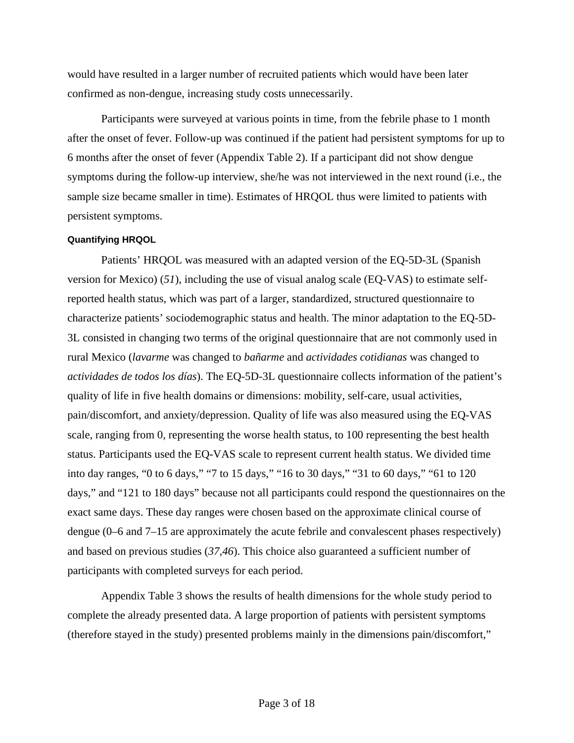would have resulted in a larger number of recruited patients which would have been later confirmed as non-dengue, increasing study costs unnecessarily.

Participants were surveyed at various points in time, from the febrile phase to 1 month after the onset of fever. Follow-up was continued if the patient had persistent symptoms for up to 6 months after the onset of fever (Appendix Table 2). If a participant did not show dengue symptoms during the follow-up interview, she/he was not interviewed in the next round (i.e., the sample size became smaller in time). Estimates of HRQOL thus were limited to patients with persistent symptoms.

#### **Quantifying HRQOL**

Patients' HRQOL was measured with an adapted version of the EQ-5D-3L (Spanish version for Mexico) (*51*), including the use of visual analog scale (EQ-VAS) to estimate selfreported health status, which was part of a larger, standardized, structured questionnaire to characterize patients' sociodemographic status and health. The minor adaptation to the EQ-5D-3L consisted in changing two terms of the original questionnaire that are not commonly used in rural Mexico (*lavarme* was changed to *bañarme* and *actividades cotidianas* was changed to *actividades de todos los días*). The EQ-5D-3L questionnaire collects information of the patient's quality of life in five health domains or dimensions: mobility, self-care, usual activities, pain/discomfort, and anxiety/depression. Quality of life was also measured using the EQ-VAS scale, ranging from 0, representing the worse health status, to 100 representing the best health status. Participants used the EQ-VAS scale to represent current health status. We divided time into day ranges, "0 to 6 days," "7 to 15 days," "16 to 30 days," "31 to 60 days," "61 to 120 days," and "121 to 180 days" because not all participants could respond the questionnaires on the exact same days. These day ranges were chosen based on the approximate clinical course of dengue (0–6 and 7–15 are approximately the acute febrile and convalescent phases respectively) and based on previous studies (*37,46*). This choice also guaranteed a sufficient number of participants with completed surveys for each period.

Appendix Table 3 shows the results of health dimensions for the whole study period to complete the already presented data. A large proportion of patients with persistent symptoms (therefore stayed in the study) presented problems mainly in the dimensions pain/discomfort,"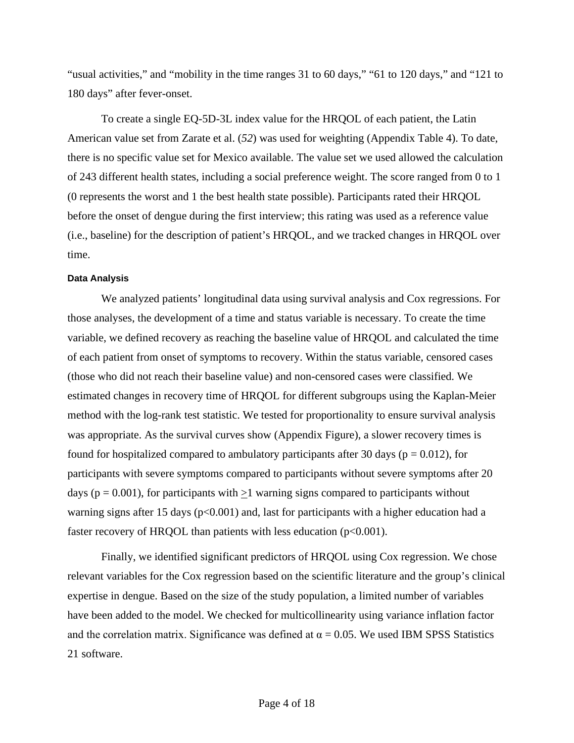"usual activities," and "mobility in the time ranges 31 to 60 days," "61 to 120 days," and "121 to 180 days" after fever-onset.

To create a single EQ-5D-3L index value for the HRQOL of each patient, the Latin American value set from Zarate et al. (*52*) was used for weighting (Appendix Table 4). To date, there is no specific value set for Mexico available. The value set we used allowed the calculation of 243 different health states, including a social preference weight. The score ranged from 0 to 1 (0 represents the worst and 1 the best health state possible). Participants rated their HRQOL before the onset of dengue during the first interview; this rating was used as a reference value (i.e., baseline) for the description of patient's HRQOL, and we tracked changes in HRQOL over time.

### **Data Analysis**

We analyzed patients' longitudinal data using survival analysis and Cox regressions. For those analyses, the development of a time and status variable is necessary. To create the time variable, we defined recovery as reaching the baseline value of HRQOL and calculated the time of each patient from onset of symptoms to recovery. Within the status variable, censored cases (those who did not reach their baseline value) and non-censored cases were classified. We estimated changes in recovery time of HRQOL for different subgroups using the Kaplan-Meier method with the log-rank test statistic. We tested for proportionality to ensure survival analysis was appropriate. As the survival curves show (Appendix Figure), a slower recovery times is found for hospitalized compared to ambulatory participants after 30 days ( $p = 0.012$ ), for participants with severe symptoms compared to participants without severe symptoms after 20 days ( $p = 0.001$ ), for participants with  $\geq 1$  warning signs compared to participants without warning signs after 15 days ( $p<0.001$ ) and, last for participants with a higher education had a faster recovery of HRQOL than patients with less education  $(p<0.001)$ .

Finally, we identified significant predictors of HRQOL using Cox regression. We chose relevant variables for the Cox regression based on the scientific literature and the group's clinical expertise in dengue. Based on the size of the study population, a limited number of variables have been added to the model. We checked for multicollinearity using variance inflation factor and the correlation matrix. Significance was defined at  $\alpha = 0.05$ . We used IBM SPSS Statistics 21 software.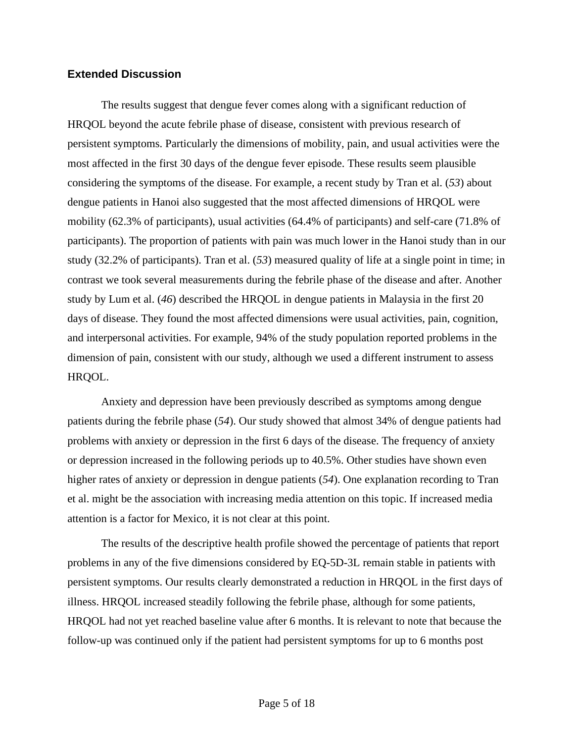## **Extended Discussion**

The results suggest that dengue fever comes along with a significant reduction of HRQOL beyond the acute febrile phase of disease, consistent with previous research of persistent symptoms. Particularly the dimensions of mobility, pain, and usual activities were the most affected in the first 30 days of the dengue fever episode. These results seem plausible considering the symptoms of the disease. For example, a recent study by Tran et al. (*53*) about dengue patients in Hanoi also suggested that the most affected dimensions of HRQOL were mobility (62.3% of participants), usual activities (64.4% of participants) and self-care (71.8% of participants). The proportion of patients with pain was much lower in the Hanoi study than in our study (32.2% of participants). Tran et al. (*53*) measured quality of life at a single point in time; in contrast we took several measurements during the febrile phase of the disease and after. Another study by Lum et al. (*46*) described the HRQOL in dengue patients in Malaysia in the first 20 days of disease. They found the most affected dimensions were usual activities, pain, cognition, and interpersonal activities. For example, 94% of the study population reported problems in the dimension of pain, consistent with our study, although we used a different instrument to assess HRQOL.

Anxiety and depression have been previously described as symptoms among dengue patients during the febrile phase (*54*). Our study showed that almost 34% of dengue patients had problems with anxiety or depression in the first 6 days of the disease. The frequency of anxiety or depression increased in the following periods up to 40.5%. Other studies have shown even higher rates of anxiety or depression in dengue patients (*54*). One explanation recording to Tran et al. might be the association with increasing media attention on this topic. If increased media attention is a factor for Mexico, it is not clear at this point.

The results of the descriptive health profile showed the percentage of patients that report problems in any of the five dimensions considered by EQ-5D-3L remain stable in patients with persistent symptoms. Our results clearly demonstrated a reduction in HRQOL in the first days of illness. HRQOL increased steadily following the febrile phase, although for some patients, HRQOL had not yet reached baseline value after 6 months. It is relevant to note that because the follow-up was continued only if the patient had persistent symptoms for up to 6 months post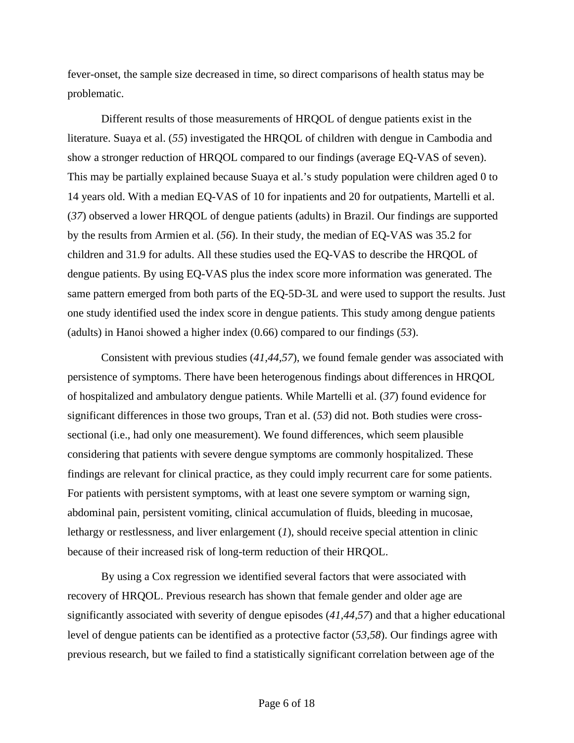fever-onset, the sample size decreased in time, so direct comparisons of health status may be problematic.

Different results of those measurements of HRQOL of dengue patients exist in the literature. Suaya et al. (*55*) investigated the HRQOL of children with dengue in Cambodia and show a stronger reduction of HRQOL compared to our findings (average EQ-VAS of seven). This may be partially explained because Suaya et al.'s study population were children aged 0 to 14 years old. With a median EQ-VAS of 10 for inpatients and 20 for outpatients, Martelli et al. (*37*) observed a lower HRQOL of dengue patients (adults) in Brazil. Our findings are supported by the results from Armien et al. (*56*). In their study, the median of EQ-VAS was 35.2 for children and 31.9 for adults. All these studies used the EQ-VAS to describe the HRQOL of dengue patients. By using EQ-VAS plus the index score more information was generated. The same pattern emerged from both parts of the EQ-5D-3L and were used to support the results. Just one study identified used the index score in dengue patients. This study among dengue patients (adults) in Hanoi showed a higher index (0.66) compared to our findings (*53*).

Consistent with previous studies (*41,44,57*), we found female gender was associated with persistence of symptoms. There have been heterogenous findings about differences in HRQOL of hospitalized and ambulatory dengue patients. While Martelli et al. (*37*) found evidence for significant differences in those two groups, Tran et al. (*53*) did not. Both studies were crosssectional (i.e., had only one measurement). We found differences, which seem plausible considering that patients with severe dengue symptoms are commonly hospitalized. These findings are relevant for clinical practice, as they could imply recurrent care for some patients. For patients with persistent symptoms, with at least one severe symptom or warning sign, abdominal pain, persistent vomiting, clinical accumulation of fluids, bleeding in mucosae, lethargy or restlessness, and liver enlargement (*1*), should receive special attention in clinic because of their increased risk of long-term reduction of their HRQOL.

By using a Cox regression we identified several factors that were associated with recovery of HRQOL. Previous research has shown that female gender and older age are significantly associated with severity of dengue episodes (*41,44,57*) and that a higher educational level of dengue patients can be identified as a protective factor (*53,58*). Our findings agree with previous research, but we failed to find a statistically significant correlation between age of the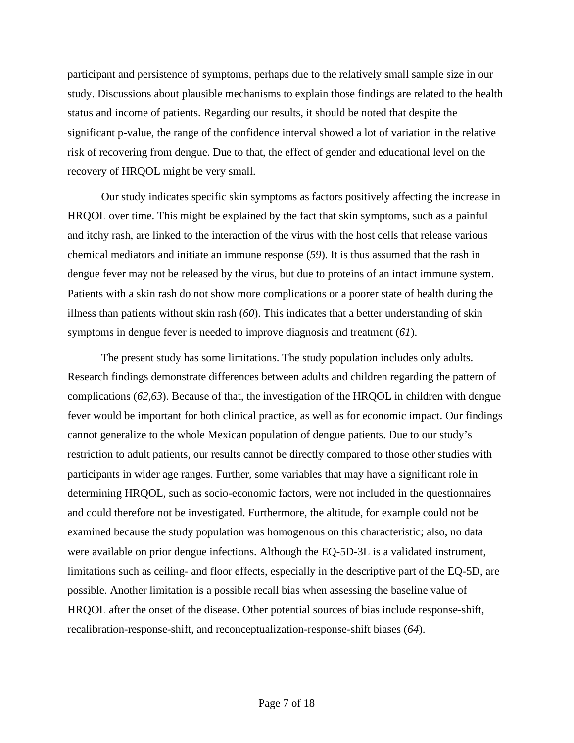participant and persistence of symptoms, perhaps due to the relatively small sample size in our study. Discussions about plausible mechanisms to explain those findings are related to the health status and income of patients. Regarding our results, it should be noted that despite the significant p-value, the range of the confidence interval showed a lot of variation in the relative risk of recovering from dengue. Due to that, the effect of gender and educational level on the recovery of HRQOL might be very small.

Our study indicates specific skin symptoms as factors positively affecting the increase in HRQOL over time. This might be explained by the fact that skin symptoms, such as a painful and itchy rash, are linked to the interaction of the virus with the host cells that release various chemical mediators and initiate an immune response (*59*). It is thus assumed that the rash in dengue fever may not be released by the virus, but due to proteins of an intact immune system. Patients with a skin rash do not show more complications or a poorer state of health during the illness than patients without skin rash (*60*). This indicates that a better understanding of skin symptoms in dengue fever is needed to improve diagnosis and treatment (*61*).

The present study has some limitations. The study population includes only adults. Research findings demonstrate differences between adults and children regarding the pattern of complications (*62,63*). Because of that, the investigation of the HRQOL in children with dengue fever would be important for both clinical practice, as well as for economic impact. Our findings cannot generalize to the whole Mexican population of dengue patients. Due to our study's restriction to adult patients, our results cannot be directly compared to those other studies with participants in wider age ranges. Further, some variables that may have a significant role in determining HRQOL, such as socio-economic factors, were not included in the questionnaires and could therefore not be investigated. Furthermore, the altitude, for example could not be examined because the study population was homogenous on this characteristic; also, no data were available on prior dengue infections. Although the EQ-5D-3L is a validated instrument, limitations such as ceiling- and floor effects, especially in the descriptive part of the EQ-5D, are possible. Another limitation is a possible recall bias when assessing the baseline value of HRQOL after the onset of the disease. Other potential sources of bias include response-shift, recalibration-response-shift, and reconceptualization-response-shift biases (*64*).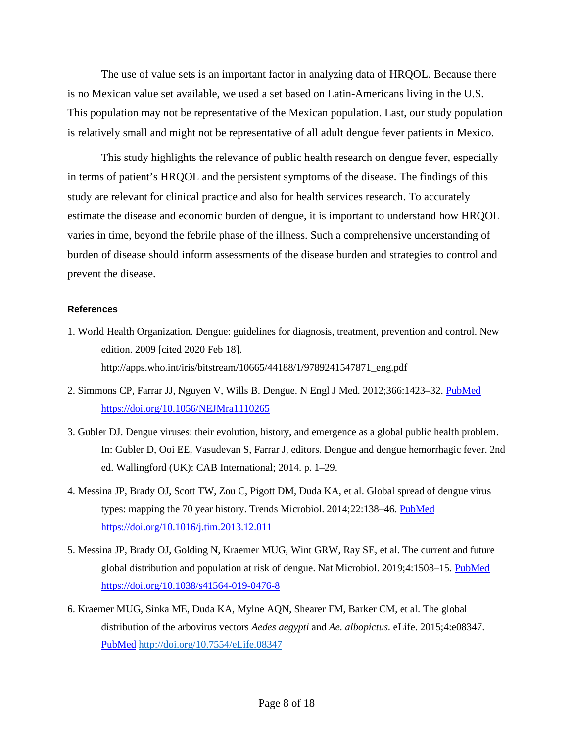The use of value sets is an important factor in analyzing data of HRQOL. Because there is no Mexican value set available, we used a set based on Latin-Americans living in the U.S. This population may not be representative of the Mexican population. Last, our study population is relatively small and might not be representative of all adult dengue fever patients in Mexico.

This study highlights the relevance of public health research on dengue fever, especially in terms of patient's HRQOL and the persistent symptoms of the disease. The findings of this study are relevant for clinical practice and also for health services research. To accurately estimate the disease and economic burden of dengue, it is important to understand how HRQOL varies in time, beyond the febrile phase of the illness. Such a comprehensive understanding of burden of disease should inform assessments of the disease burden and strategies to control and prevent the disease.

#### **References**

- 1. World Health Organization. Dengue: guidelines for diagnosis, treatment, prevention and control. New edition. 2009 [cited 2020 Feb 18]. http://apps.who.int/iris/bitstream/10665/44188/1/9789241547871\_eng.pdf
- 2. Simmons CP, Farrar JJ, Nguyen V, Wills B. Dengue. N Engl J Med. 2012;366:1423–32. [PubMed](https://www.ncbi.nlm.nih.gov/entrez/query.fcgi?cmd=Retrieve&db=PubMed&list_uids=22494122&dopt=Abstract) <https://doi.org/10.1056/NEJMra1110265>
- 3. Gubler DJ. Dengue viruses: their evolution, history, and emergence as a global public health problem. In: Gubler D, Ooi EE, Vasudevan S, Farrar J, editors. Dengue and dengue hemorrhagic fever. 2nd ed. Wallingford (UK): CAB International; 2014. p. 1–29.
- 4. Messina JP, Brady OJ, Scott TW, Zou C, Pigott DM, Duda KA, et al. Global spread of dengue virus types: mapping the 70 year history. Trends Microbiol. 2014;22:138–46. [PubMed](https://www.ncbi.nlm.nih.gov/entrez/query.fcgi?cmd=Retrieve&db=PubMed&list_uids=24468533&dopt=Abstract) <https://doi.org/10.1016/j.tim.2013.12.011>
- 5. Messina JP, Brady OJ, Golding N, Kraemer MUG, Wint GRW, Ray SE, et al. The current and future global distribution and population at risk of dengue. Nat Microbiol. 2019;4:1508-15. [PubMed](https://www.ncbi.nlm.nih.gov/entrez/query.fcgi?cmd=Retrieve&db=PubMed&list_uids=31182801&dopt=Abstract) <https://doi.org/10.1038/s41564-019-0476-8>
- 6. Kraemer MUG, Sinka ME, Duda KA, Mylne AQN, Shearer FM, Barker CM, et al. The global distribution of the arbovirus vectors *Aedes aegypti* and *Ae. albopictus.* eLife. 2015;4:e08347[.](https://www.ncbi.nlm.nih.gov/entrez/query.fcgi?cmd=Retrieve&db=PubMed&list_uids=26126267&dopt=Abstract) [PubMed](https://www.ncbi.nlm.nih.gov/entrez/query.fcgi?cmd=Retrieve&db=PubMed&list_uids=26126267&dopt=Abstract) <http://doi.org/10.7554/eLife.08347>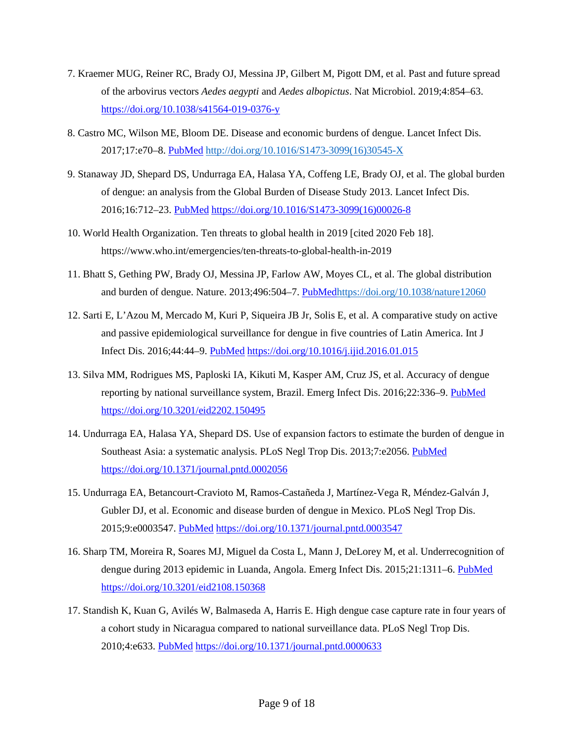- 7. Kraemer MUG, Reiner RC, Brady OJ, Messina JP, Gilbert M, Pigott DM, et al. Past and future spread of the arbovirus vectors *Aedes aegypti* and *Aedes albopictus*. Nat Microbiol. 2019;4:854–63. <https://doi.org/10.1038/s41564-019-0376-y>
- 8. Castro MC, Wilson ME, Bloom DE. Disease and economic burdens of dengue. Lancet Infect Dis. 2017;17:e70–8. [PubMed](https://www.ncbi.nlm.nih.gov/entrez/query.fcgi?cmd=Retrieve&db=PubMed&list_uids=28185869&dopt=Abstract) [http://doi.org/10.1016/S1473-3099\(16\)30545-X](http://doi.org/10.1016/S1473-3099(16)30545-X)
- 9. Stanaway JD, Shepard DS, Undurraga EA, Halasa YA, Coffeng LE, Brady OJ, et al. The global burden of dengue: an analysis from the Global Burden of Disease Study 2013. Lancet Infect Dis. 2016;16:712–23. [PubMed](https://www.ncbi.nlm.nih.gov/entrez/query.fcgi?cmd=Retrieve&db=PubMed&list_uids=26874619&dopt=Abstract) [https://doi.org/10.1016/S1473-3099\(16\)00026-8](https://doi.org/10.1016/S1473-3099(16)00026-8)
- 10. World Health Organization. Ten threats to global health in 2019 [cited 2020 Feb 18]. https://www.who.int/emergencies/ten-threats-to-global-health-in-2019
- 11. Bhatt S, Gething PW, Brady OJ, Messina JP, Farlow AW, Moyes CL, et al. The global distribution and burden of dengue. Nature. 2013;496:504-7. [PubMed](https://www.ncbi.nlm.nih.gov/entrez/query.fcgi?cmd=Retrieve&db=PubMed&list_uids=23563266&dopt=Abstract)<https://doi.org/10.1038/nature12060>
- 12. Sarti E, L'Azou M, Mercado M, Kuri P, Siqueira JB Jr, Solis E, et al. A comparative study on active and passive epidemiological surveillance for dengue in five countries of Latin America. Int J Infect Dis. 2016;44:44–9. [PubMed](https://www.ncbi.nlm.nih.gov/entrez/query.fcgi?cmd=Retrieve&db=PubMed&list_uids=26836763&dopt=Abstract) <https://doi.org/10.1016/j.ijid.2016.01.015>
- 13. Silva MM, Rodrigues MS, Paploski IA, Kikuti M, Kasper AM, Cruz JS, et al. Accuracy of dengue reporting by national surveillance system, Brazil. Emerg Infect Dis. 2016;22:336–9. [PubMed](https://www.ncbi.nlm.nih.gov/entrez/query.fcgi?cmd=Retrieve&db=PubMed&list_uids=26812472&dopt=Abstract) <https://doi.org/10.3201/eid2202.150495>
- 14. Undurraga EA, Halasa YA, Shepard DS. Use of expansion factors to estimate the burden of dengue in Southeast Asia: a systematic analysis. PLoS Negl Trop Dis. 2013;7:e2056. [PubMed](https://www.ncbi.nlm.nih.gov/entrez/query.fcgi?cmd=Retrieve&db=PubMed&list_uids=23437407&dopt=Abstract) <https://doi.org/10.1371/journal.pntd.0002056>
- 15. Undurraga EA, Betancourt-Cravioto M, Ramos-Castañeda J, Martínez-Vega R, Méndez-Galván J, Gubler DJ, et al. Economic and disease burden of dengue in Mexico. PLoS Negl Trop Dis. 2015;9:e0003547. [PubMed](https://www.ncbi.nlm.nih.gov/entrez/query.fcgi?cmd=Retrieve&db=PubMed&list_uids=25786225&dopt=Abstract) <https://doi.org/10.1371/journal.pntd.0003547>
- 16. Sharp TM, Moreira R, Soares MJ, Miguel da Costa L, Mann J, DeLorey M, et al. Underrecognition of dengue during 2013 epidemic in Luanda, Angola. Emerg Infect Dis. 2015;21:1311–6. [PubMed](https://www.ncbi.nlm.nih.gov/entrez/query.fcgi?cmd=Retrieve&db=PubMed&list_uids=26196224&dopt=Abstract) <https://doi.org/10.3201/eid2108.150368>
- 17. Standish K, Kuan G, Avilés W, Balmaseda A, Harris E. High dengue case capture rate in four years of a cohort study in Nicaragua compared to national surveillance data. PLoS Negl Trop Dis. 2010;4:e633. [PubMed](https://www.ncbi.nlm.nih.gov/entrez/query.fcgi?cmd=Retrieve&db=PubMed&list_uids=20300515&dopt=Abstract) <https://doi.org/10.1371/journal.pntd.0000633>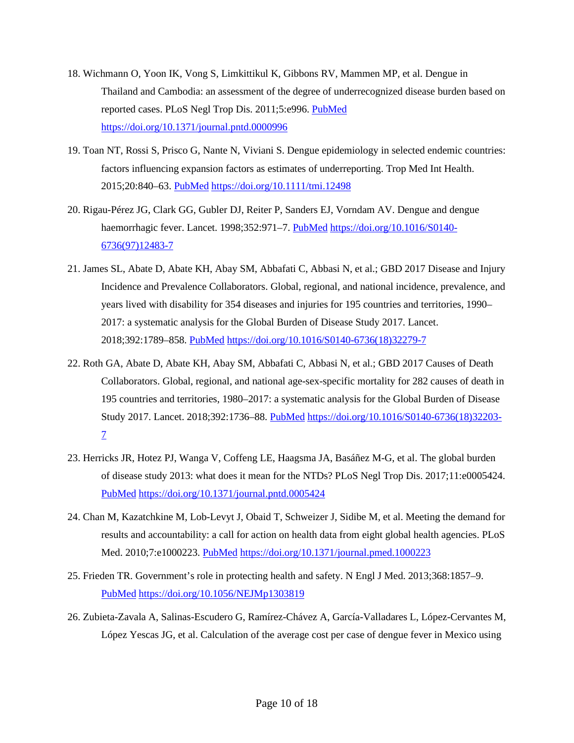- 18. Wichmann O, Yoon IK, Vong S, Limkittikul K, Gibbons RV, Mammen MP, et al. Dengue in Thailand and Cambodia: an assessment of the degree of underrecognized disease burden based on reported cases. PLoS Negl Trop Dis. 2011;5:e996. [PubMed](https://www.ncbi.nlm.nih.gov/entrez/query.fcgi?cmd=Retrieve&db=PubMed&list_uids=21468308&dopt=Abstract) <https://doi.org/10.1371/journal.pntd.0000996>
- 19. Toan NT, Rossi S, Prisco G, Nante N, Viviani S. Dengue epidemiology in selected endemic countries: factors influencing expansion factors as estimates of underreporting. Trop Med Int Health. 2015;20:840–63. [PubMed](https://www.ncbi.nlm.nih.gov/entrez/query.fcgi?cmd=Retrieve&db=PubMed&list_uids=25753454&dopt=Abstract) <https://doi.org/10.1111/tmi.12498>
- 20. Rigau-Pérez JG, Clark GG, Gubler DJ, Reiter P, Sanders EJ, Vorndam AV. Dengue and dengue haemorrhagic fever. Lancet. 1998;352:971-7. [PubMed](https://www.ncbi.nlm.nih.gov/entrez/query.fcgi?cmd=Retrieve&db=PubMed&list_uids=9752834&dopt=Abstract) [https://doi.org/10.1016/S0140-](https://doi.org/10.1016/S0140-6736(97)12483-7) [6736\(97\)12483-7](https://doi.org/10.1016/S0140-6736(97)12483-7)
- 21. James SL, Abate D, Abate KH, Abay SM, Abbafati C, Abbasi N, et al.; GBD 2017 Disease and Injury Incidence and Prevalence Collaborators. Global, regional, and national incidence, prevalence, and years lived with disability for 354 diseases and injuries for 195 countries and territories, 1990– 2017: a systematic analysis for the Global Burden of Disease Study 2017. Lancet. 2018;392:1789–858. [PubMed](https://www.ncbi.nlm.nih.gov/entrez/query.fcgi?cmd=Retrieve&db=PubMed&list_uids=30496104&dopt=Abstract) [https://doi.org/10.1016/S0140-6736\(18\)32279-7](https://doi.org/10.1016/S0140-6736(18)32279-7)
- 22. Roth GA, Abate D, Abate KH, Abay SM, Abbafati C, Abbasi N, et al.; GBD 2017 Causes of Death Collaborators. Global, regional, and national age-sex-specific mortality for 282 causes of death in 195 countries and territories, 1980–2017: a systematic analysis for the Global Burden of Disease Study 2017. Lancet. 2018;392:1736–88. [PubMed](https://www.ncbi.nlm.nih.gov/entrez/query.fcgi?cmd=Retrieve&db=PubMed&list_uids=30496103&dopt=Abstract) [https://doi.org/10.1016/S0140-6736\(18\)32203-](https://doi.org/10.1016/S0140-6736(18)32203-7) [7](https://doi.org/10.1016/S0140-6736(18)32203-7)
- 23. Herricks JR, Hotez PJ, Wanga V, Coffeng LE, Haagsma JA, Basáñez M-G, et al. The global burden of disease study 2013: what does it mean for the NTDs? PLoS Negl Trop Dis. 2017;11:e0005424[.](https://www.ncbi.nlm.nih.gov/entrez/query.fcgi?cmd=Retrieve&db=PubMed&list_uids=28771480&dopt=Abstract) [PubMed](https://www.ncbi.nlm.nih.gov/entrez/query.fcgi?cmd=Retrieve&db=PubMed&list_uids=28771480&dopt=Abstract) <https://doi.org/10.1371/journal.pntd.0005424>
- 24. Chan M, Kazatchkine M, Lob-Levyt J, Obaid T, Schweizer J, Sidibe M, et al. Meeting the demand for results and accountability: a call for action on health data from eight global health agencies. PLoS Med. 2010;7:e1000223. [PubMed](https://www.ncbi.nlm.nih.gov/entrez/query.fcgi?cmd=Retrieve&db=PubMed&list_uids=20126260&dopt=Abstract) <https://doi.org/10.1371/journal.pmed.1000223>
- 25. Frieden TR. Government's role in protecting health and safety. N Engl J Med. 2013;368:1857–9[.](https://www.ncbi.nlm.nih.gov/entrez/query.fcgi?cmd=Retrieve&db=PubMed&list_uids=23593978&dopt=Abstract) [PubMed](https://www.ncbi.nlm.nih.gov/entrez/query.fcgi?cmd=Retrieve&db=PubMed&list_uids=23593978&dopt=Abstract) <https://doi.org/10.1056/NEJMp1303819>
- 26. Zubieta-Zavala A, Salinas-Escudero G, Ramírez-Chávez A, García-Valladares L, López-Cervantes M, López Yescas JG, et al. Calculation of the average cost per case of dengue fever in Mexico using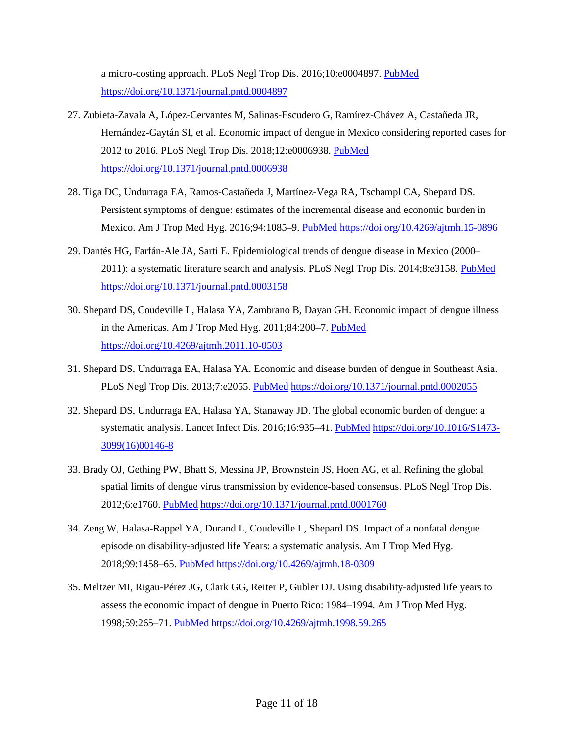a micro-costing approach. PLoS Negl Trop Dis. 2016;10:e0004897. [PubMed](https://www.ncbi.nlm.nih.gov/entrez/query.fcgi?cmd=Retrieve&db=PubMed&list_uids=27501146&dopt=Abstract) <https://doi.org/10.1371/journal.pntd.0004897>

- 27. Zubieta-Zavala A, López-Cervantes M, Salinas-Escudero G, Ramírez-Chávez A, Castañeda JR, Hernández-Gaytán SI, et al. Economic impact of dengue in Mexico considering reported cases for 2012 to 2016. PLoS Negl Trop Dis. 2018;12:e0006938. [PubMed](https://www.ncbi.nlm.nih.gov/entrez/query.fcgi?cmd=Retrieve&db=PubMed&list_uids=30550569&dopt=Abstract) <https://doi.org/10.1371/journal.pntd.0006938>
- 28. Tiga DC, Undurraga EA, Ramos-Castañeda J, Martínez-Vega RA, Tschampl CA, Shepard DS. Persistent symptoms of dengue: estimates of the incremental disease and economic burden in Mexico. Am J Trop Med Hyg. 2016;94:1085–9. [PubMed](https://www.ncbi.nlm.nih.gov/entrez/query.fcgi?cmd=Retrieve&db=PubMed&list_uids=26976885&dopt=Abstract) <https://doi.org/10.4269/ajtmh.15-0896>
- 29. Dantés HG, Farfán-Ale JA, Sarti E. Epidemiological trends of dengue disease in Mexico (2000– 2011): a systematic literature search and analysis. PLoS Negl Trop Dis. 2014;8:e3158. [PubMed](https://www.ncbi.nlm.nih.gov/entrez/query.fcgi?cmd=Retrieve&db=PubMed&list_uids=25375162&dopt=Abstract) <https://doi.org/10.1371/journal.pntd.0003158>
- 30. Shepard DS, Coudeville L, Halasa YA, Zambrano B, Dayan GH. Economic impact of dengue illness in the Americas. Am J Trop Med Hyg. 2011;84:200-7. [PubMed](https://www.ncbi.nlm.nih.gov/entrez/query.fcgi?cmd=Retrieve&db=PubMed&list_uids=21292885&dopt=Abstract) <https://doi.org/10.4269/ajtmh.2011.10-0503>
- 31. Shepard DS, Undurraga EA, Halasa YA. Economic and disease burden of dengue in Southeast Asia. PLoS Negl Trop Dis. 2013;7:e2055. [PubMed](https://www.ncbi.nlm.nih.gov/entrez/query.fcgi?cmd=Retrieve&db=PubMed&list_uids=23437406&dopt=Abstract) <https://doi.org/10.1371/journal.pntd.0002055>
- 32. Shepard DS, Undurraga EA, Halasa YA, Stanaway JD. The global economic burden of dengue: a systematic analysis. Lancet Infect Dis. 2016;16:935-41. [PubMed](https://www.ncbi.nlm.nih.gov/entrez/query.fcgi?cmd=Retrieve&db=PubMed&list_uids=27091092&dopt=Abstract) [https://doi.org/10.1016/S1473-](https://doi.org/10.1016/S1473-3099(16)00146-8) [3099\(16\)00146-8](https://doi.org/10.1016/S1473-3099(16)00146-8)
- 33. Brady OJ, Gething PW, Bhatt S, Messina JP, Brownstein JS, Hoen AG, et al. Refining the global spatial limits of dengue virus transmission by evidence-based consensus. PLoS Negl Trop Dis. 2012;6:e1760. [PubMed](https://www.ncbi.nlm.nih.gov/entrez/query.fcgi?cmd=Retrieve&db=PubMed&list_uids=22880140&dopt=Abstract) <https://doi.org/10.1371/journal.pntd.0001760>
- 34. Zeng W, Halasa-Rappel YA, Durand L, Coudeville L, Shepard DS. Impact of a nonfatal dengue episode on disability-adjusted life Years: a systematic analysis. Am J Trop Med Hyg. 2018;99:1458–65. [PubMed](https://www.ncbi.nlm.nih.gov/entrez/query.fcgi?cmd=Retrieve&db=PubMed&list_uids=30277202&dopt=Abstract) <https://doi.org/10.4269/ajtmh.18-0309>
- 35. Meltzer MI, Rigau-Pérez JG, Clark GG, Reiter P, Gubler DJ. Using disability-adjusted life years to assess the economic impact of dengue in Puerto Rico: 1984–1994. Am J Trop Med Hyg. 1998;59:265–71. [PubMed](https://www.ncbi.nlm.nih.gov/entrez/query.fcgi?cmd=Retrieve&db=PubMed&list_uids=9715944&dopt=Abstract) <https://doi.org/10.4269/ajtmh.1998.59.265>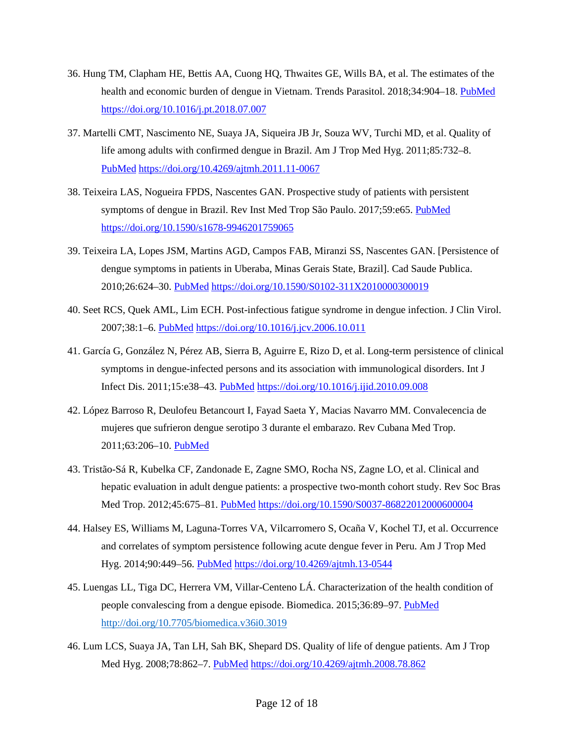- 36. Hung TM, Clapham HE, Bettis AA, Cuong HQ, Thwaites GE, Wills BA, et al. The estimates of the health and economic burden of dengue in Vietnam. Trends Parasitol. 2018;34:904–18. [PubMed](https://www.ncbi.nlm.nih.gov/entrez/query.fcgi?cmd=Retrieve&db=PubMed&list_uids=30100203&dopt=Abstract) <https://doi.org/10.1016/j.pt.2018.07.007>
- 37. Martelli CMT, Nascimento NE, Suaya JA, Siqueira JB Jr, Souza WV, Turchi MD, et al. Quality of life among adults with confirmed dengue in Brazil. Am J Trop Med Hyg. 2011;85:732–[8.](https://www.ncbi.nlm.nih.gov/entrez/query.fcgi?cmd=Retrieve&db=PubMed&list_uids=21976580&dopt=Abstract) [PubMed](https://www.ncbi.nlm.nih.gov/entrez/query.fcgi?cmd=Retrieve&db=PubMed&list_uids=21976580&dopt=Abstract) <https://doi.org/10.4269/ajtmh.2011.11-0067>
- 38. Teixeira LAS, Nogueira FPDS, Nascentes GAN. Prospective study of patients with persistent symptoms of dengue in Brazil. Rev Inst Med Trop São Paulo. 2017;59:e65. [PubMed](https://www.ncbi.nlm.nih.gov/entrez/query.fcgi?cmd=Retrieve&db=PubMed&list_uids=28876417&dopt=Abstract) <https://doi.org/10.1590/s1678-9946201759065>
- 39. Teixeira LA, Lopes JSM, Martins AGD, Campos FAB, Miranzi SS, Nascentes GAN. [Persistence of dengue symptoms in patients in Uberaba, Minas Gerais State, Brazil]. Cad Saude Publica. 2010;26:624–30. [PubMed](https://www.ncbi.nlm.nih.gov/entrez/query.fcgi?cmd=Retrieve&db=PubMed&list_uids=20464080&dopt=Abstract) <https://doi.org/10.1590/S0102-311X2010000300019>
- 40. Seet RCS, Quek AML, Lim ECH. Post-infectious fatigue syndrome in dengue infection. J Clin Virol. 2007;38:1–6. [PubMed](https://www.ncbi.nlm.nih.gov/entrez/query.fcgi?cmd=Retrieve&db=PubMed&list_uids=17137834&dopt=Abstract) <https://doi.org/10.1016/j.jcv.2006.10.011>
- 41. García G, González N, Pérez AB, Sierra B, Aguirre E, Rizo D, et al. Long-term persistence of clinical symptoms in dengue-infected persons and its association with immunological disorders. Int J Infect Dis. 2011;15:e38–43. [PubMed](https://www.ncbi.nlm.nih.gov/entrez/query.fcgi?cmd=Retrieve&db=PubMed&list_uids=21112804&dopt=Abstract) <https://doi.org/10.1016/j.ijid.2010.09.008>
- 42. López Barroso R, Deulofeu Betancourt I, Fayad Saeta Y, Macias Navarro MM. Convalecencia de mujeres que sufrieron dengue serotipo 3 durante el embarazo. Rev Cubana Med Trop. 2011;63:206–10. [PubMed](https://www.ncbi.nlm.nih.gov/entrez/query.fcgi?cmd=Retrieve&db=PubMed&list_uids=23444608&dopt=Abstract)
- 43. Tristão-Sá R, Kubelka CF, Zandonade E, Zagne SMO, Rocha NS, Zagne LO, et al. Clinical and hepatic evaluation in adult dengue patients: a prospective two-month cohort study. Rev Soc Bras Med Trop. 2012;45:675–81. [PubMed](https://www.ncbi.nlm.nih.gov/entrez/query.fcgi?cmd=Retrieve&db=PubMed&list_uids=23295867&dopt=Abstract) <https://doi.org/10.1590/S0037-86822012000600004>
- 44. Halsey ES, Williams M, Laguna-Torres VA, Vilcarromero S, Ocaña V, Kochel TJ, et al. Occurrence and correlates of symptom persistence following acute dengue fever in Peru. Am J Trop Med Hyg. 2014;90:449–56. [PubMed](https://www.ncbi.nlm.nih.gov/entrez/query.fcgi?cmd=Retrieve&db=PubMed&list_uids=24470564&dopt=Abstract) <https://doi.org/10.4269/ajtmh.13-0544>
- 45. Luengas LL, Tiga DC, Herrera VM, Villar-Centeno LÁ. Characterization of the health condition of people convalescing from a dengue episode. Biomedica. 2015;36:89–97. [PubMed](https://www.ncbi.nlm.nih.gov/entrez/query.fcgi?cmd=Retrieve&db=PubMed&list_uids=27622796&dopt=Abstract) <http://doi.org/10.7705/biomedica.v36i0.3019>
- 46. Lum LCS, Suaya JA, Tan LH, Sah BK, Shepard DS. Quality of life of dengue patients. Am J Trop Med Hyg. 2008;78:862–7. [PubMed](https://www.ncbi.nlm.nih.gov/entrez/query.fcgi?cmd=Retrieve&db=PubMed&list_uids=18541760&dopt=Abstract) <https://doi.org/10.4269/ajtmh.2008.78.862>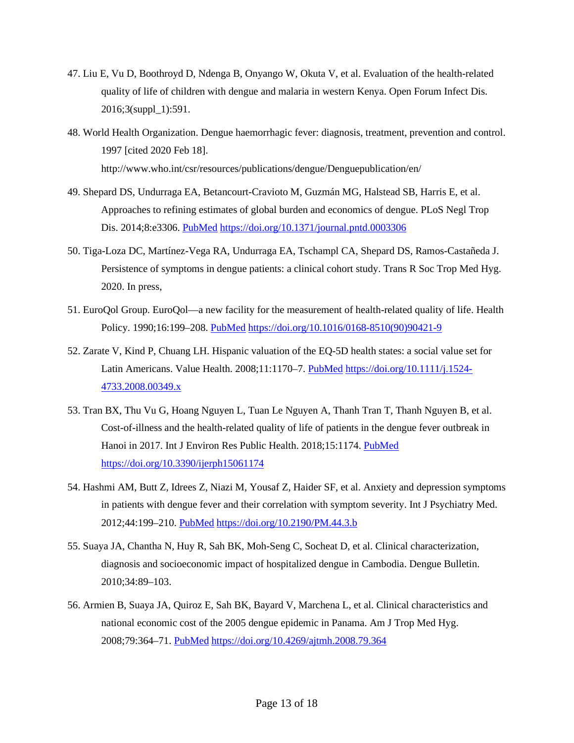- 47. Liu E, Vu D, Boothroyd D, Ndenga B, Onyango W, Okuta V, et al. Evaluation of the health-related quality of life of children with dengue and malaria in western Kenya. Open Forum Infect Dis. 2016;3(suppl\_1):591.
- 48. World Health Organization. Dengue haemorrhagic fever: diagnosis, treatment, prevention and control. 1997 [cited 2020 Feb 18]. http://www.who.int/csr/resources/publications/dengue/Denguepublication/en/
- 49. Shepard DS, Undurraga EA, Betancourt-Cravioto M, Guzmán MG, Halstead SB, Harris E, et al. Approaches to refining estimates of global burden and economics of dengue. PLoS Negl Trop Dis. 2014;8:e3306. [PubMed](https://www.ncbi.nlm.nih.gov/entrez/query.fcgi?cmd=Retrieve&db=PubMed&list_uids=25412506&dopt=Abstract) <https://doi.org/10.1371/journal.pntd.0003306>
- 50. Tiga-Loza DC, Martínez-Vega RA, Undurraga EA, Tschampl CA, Shepard DS, Ramos-Castañeda J. Persistence of symptoms in dengue patients: a clinical cohort study. Trans R Soc Trop Med Hyg. 2020. In press,
- 51. EuroQol Group. EuroQol—a new facility for the measurement of health-related quality of life. Health Policy. 1990;16:199-208. [PubMed](https://www.ncbi.nlm.nih.gov/entrez/query.fcgi?cmd=Retrieve&db=PubMed&list_uids=10109801&dopt=Abstract) [https://doi.org/10.1016/0168-8510\(90\)90421-9](https://doi.org/10.1016/0168-8510(90)90421-9)
- 52. Zarate V, Kind P, Chuang LH. Hispanic valuation of the EQ-5D health states: a social value set for Latin Americans. Value Health. 2008;11:1170–7. [PubMed](https://www.ncbi.nlm.nih.gov/entrez/query.fcgi?cmd=Retrieve&db=PubMed&list_uids=18489516&dopt=Abstract) [https://doi.org/10.1111/j.1524-](https://doi.org/10.1111/j.1524-4733.2008.00349.x) [4733.2008.00349.x](https://doi.org/10.1111/j.1524-4733.2008.00349.x)
- 53. Tran BX, Thu Vu G, Hoang Nguyen L, Tuan Le Nguyen A, Thanh Tran T, Thanh Nguyen B, et al. Cost-of-illness and the health-related quality of life of patients in the dengue fever outbreak in Hanoi in 2017. Int J Environ Res Public Health. 2018;15:1174. [PubMed](https://www.ncbi.nlm.nih.gov/entrez/query.fcgi?cmd=Retrieve&db=PubMed&list_uids=29874790&dopt=Abstract) <https://doi.org/10.3390/ijerph15061174>
- 54. Hashmi AM, Butt Z, Idrees Z, Niazi M, Yousaf Z, Haider SF, et al. Anxiety and depression symptoms in patients with dengue fever and their correlation with symptom severity. Int J Psychiatry Med. 2012;44:199–210. [PubMed](https://www.ncbi.nlm.nih.gov/entrez/query.fcgi?cmd=Retrieve&db=PubMed&list_uids=23586276&dopt=Abstract) <https://doi.org/10.2190/PM.44.3.b>
- 55. Suaya JA, Chantha N, Huy R, Sah BK, Moh-Seng C, Socheat D, et al. Clinical characterization, diagnosis and socioeconomic impact of hospitalized dengue in Cambodia. Dengue Bulletin. 2010;34:89–103.
- 56. Armien B, Suaya JA, Quiroz E, Sah BK, Bayard V, Marchena L, et al. Clinical characteristics and national economic cost of the 2005 dengue epidemic in Panama. Am J Trop Med Hyg. 2008;79:364–71. [PubMed](https://www.ncbi.nlm.nih.gov/entrez/query.fcgi?cmd=Retrieve&db=PubMed&list_uids=18784227&dopt=Abstract) <https://doi.org/10.4269/ajtmh.2008.79.364>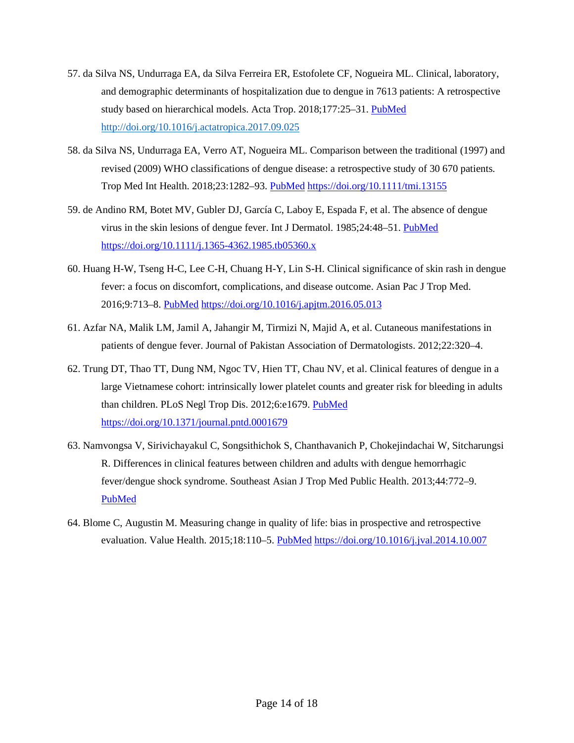- 57. da Silva NS, Undurraga EA, da Silva Ferreira ER, Estofolete CF, Nogueira ML. Clinical, laboratory, and demographic determinants of hospitalization due to dengue in 7613 patients: A retrospective study based on hierarchical models. Acta Trop. 2018;177:25–31. [PubMed](https://www.ncbi.nlm.nih.gov/entrez/query.fcgi?cmd=Retrieve&db=PubMed&list_uids=28964768&dopt=Abstract) <http://doi.org/10.1016/j.actatropica.2017.09.025>
- 58. da Silva NS, Undurraga EA, Verro AT, Nogueira ML. Comparison between the traditional (1997) and revised (2009) WHO classifications of dengue disease: a retrospective study of 30 670 patients. Trop Med Int Health. 2018;23:1282–93. [PubMed](https://www.ncbi.nlm.nih.gov/entrez/query.fcgi?cmd=Retrieve&db=PubMed&list_uids=30282115&dopt=Abstract) <https://doi.org/10.1111/tmi.13155>
- 59. de Andino RM, Botet MV, Gubler DJ, García C, Laboy E, Espada F, et al. The absence of dengue virus in the skin lesions of dengue fever. Int J Dermatol. 1985;24:48–51. [PubMed](https://www.ncbi.nlm.nih.gov/entrez/query.fcgi?cmd=Retrieve&db=PubMed&list_uids=3997331&dopt=Abstract) <https://doi.org/10.1111/j.1365-4362.1985.tb05360.x>
- 60. Huang H-W, Tseng H-C, Lee C-H, Chuang H-Y, Lin S-H. Clinical significance of skin rash in dengue fever: a focus on discomfort, complications, and disease outcome. Asian Pac J Trop Med. 2016;9:713–8. [PubMed](https://www.ncbi.nlm.nih.gov/entrez/query.fcgi?cmd=Retrieve&db=PubMed&list_uids=27393104&dopt=Abstract) <https://doi.org/10.1016/j.apjtm.2016.05.013>
- 61. Azfar NA, Malik LM, Jamil A, Jahangir M, Tirmizi N, Majid A, et al. Cutaneous manifestations in patients of dengue fever. Journal of Pakistan Association of Dermatologists. 2012;22:320–4.
- 62. Trung DT, Thao TT, Dung NM, Ngoc TV, Hien TT, Chau NV, et al. Clinical features of dengue in a large Vietnamese cohort: intrinsically lower platelet counts and greater risk for bleeding in adults than children. PLoS Negl Trop Dis. 2012;6:e1679. [PubMed](https://www.ncbi.nlm.nih.gov/entrez/query.fcgi?cmd=Retrieve&db=PubMed&list_uids=22745839&dopt=Abstract) <https://doi.org/10.1371/journal.pntd.0001679>
- 63. Namvongsa V, Sirivichayakul C, Songsithichok S, Chanthavanich P, Chokejindachai W, Sitcharungsi R. Differences in clinical features between children and adults with dengue hemorrhagic fever/dengue shock syndrome. Southeast Asian J Trop Med Public Health. 2013;44:772–9[.](https://www.ncbi.nlm.nih.gov/entrez/query.fcgi?cmd=Retrieve&db=PubMed&list_uids=24437312&dopt=Abstract) [PubMed](https://www.ncbi.nlm.nih.gov/entrez/query.fcgi?cmd=Retrieve&db=PubMed&list_uids=24437312&dopt=Abstract)
- 64. Blome C, Augustin M. Measuring change in quality of life: bias in prospective and retrospective evaluation. Value Health. 2015;18:110–5. [PubMed](https://www.ncbi.nlm.nih.gov/entrez/query.fcgi?cmd=Retrieve&db=PubMed&list_uids=25595241&dopt=Abstract) <https://doi.org/10.1016/j.jval.2014.10.007>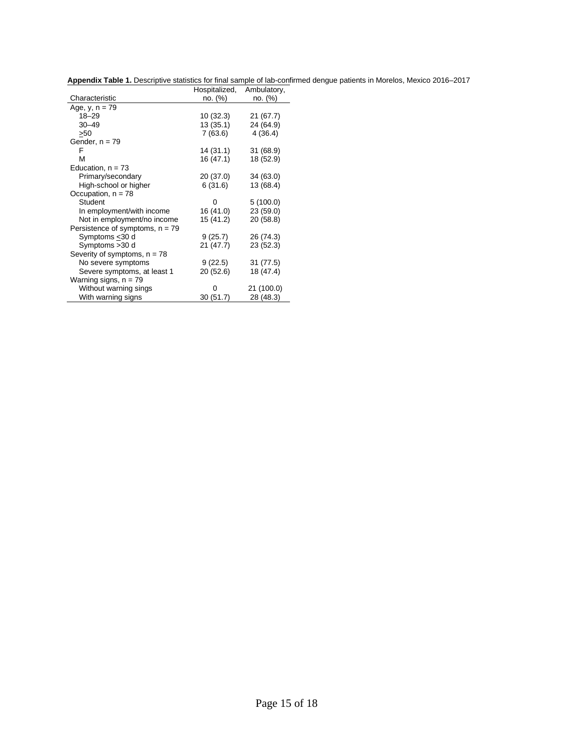**Appendix Table 1.** Descriptive statistics for final sample of lab-confirmed dengue patients in Morelos, Mexico 2016–2017

|                                   | Hospitalized, | Ambulatory, |
|-----------------------------------|---------------|-------------|
| Characteristic                    | no. (%)       | no. (%)     |
| Age, $y, n = 79$                  |               |             |
| $18 - 29$                         | 10 (32.3)     | 21(67.7)    |
| $30 - 49$                         | 13 (35.1)     | 24 (64.9)   |
| >50                               | 7 (63.6)      | 4(36.4)     |
| Gender, $n = 79$                  |               |             |
| F                                 | 14 (31.1)     | 31 (68.9)   |
| М                                 | 16 (47.1)     | 18 (52.9)   |
| Education, $n = 73$               |               |             |
| Primary/secondary                 | 20 (37.0)     | 34 (63.0)   |
| High-school or higher             | 6 (31.6)      | 13 (68.4)   |
| Occupation, $n = 78$              |               |             |
| Student                           | 0             | 5(100.0)    |
| In employment/with income         | 16 (41.0)     | 23(59.0)    |
| Not in employment/no income       | 15 (41.2)     | 20 (58.8)   |
| Persistence of symptoms, $n = 79$ |               |             |
| Symptoms < 30 d                   | 9(25.7)       | 26 (74.3)   |
| Symptoms > 30 d                   | 21 (47.7)     | 23 (52.3)   |
| Severity of symptoms, $n = 78$    |               |             |
| No severe symptoms                | 9(22.5)       | 31 (77.5)   |
| Severe symptoms, at least 1       | 20 (52.6)     | 18 (47.4)   |
| Warning signs, $n = 79$           |               |             |
| Without warning sings             | 0             | 21 (100.0)  |
| With warning signs                | 30(51.7)      | 28 (48.3)   |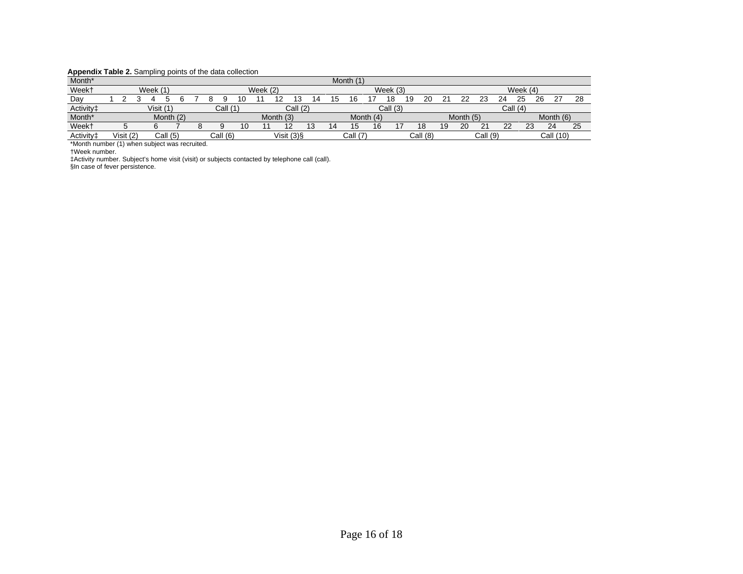#### **Appendix Table 2.** Sampling points of the data collection

| Month <sup>*</sup>    |           |           | ______      |  |          |    |            |           |            | Month |         |     |            |    |          |    |           |          |           |                   |      |            |    |
|-----------------------|-----------|-----------|-------------|--|----------|----|------------|-----------|------------|-------|---------|-----|------------|----|----------|----|-----------|----------|-----------|-------------------|------|------------|----|
| Week <sup>+</sup>     |           | Week (1   |             |  |          |    | Week $(2)$ |           |            |       |         |     | Week $(3)$ |    |          |    |           |          |           | Week $(4)$        |      |            |    |
| Day                   |           |           |             |  |          |    |            |           |            |       | 6       |     | 18         | 19 | 20       |    | つつ        | ົ        | ົາ<br>24. | 25                | 26   | דר         | 28 |
| Activity <sup>+</sup> |           | Visit (1) |             |  | Call     |    |            |           | Call (2)   |       |         |     | Call (3)   |    |          |    |           |          | Call      | $\overline{1(4)}$ |      |            |    |
| Month <sup>*</sup>    |           |           | Month $(2)$ |  |          |    |            | Month (3) |            |       | Month   | (4) |            |    |          |    | Month (5) |          |           |                   |      | Month (6)  |    |
| Week <sup>+</sup>     |           |           |             |  |          | 10 | 11         | 12        |            |       |         | 16  |            |    | 18       | 19 | 20        | 21       | 22        | ົ<br>دے           |      | ົາ 1<br>∠∽ | 25 |
| Activity <sup>+</sup> | Visit (2) |           | Call (5)    |  | Call (6) |    |            |           | Visit (3)§ |       | Call (7 |     |            |    | Call (8) |    |           | Call (9) |           |                   | Call | (10)       |    |

\*Month number (1) when subject was recruited.

†Week number.

‡Activity number. Subject's home visit (visit) or subjects contacted by telephone call (call).

§In case of fever persistence.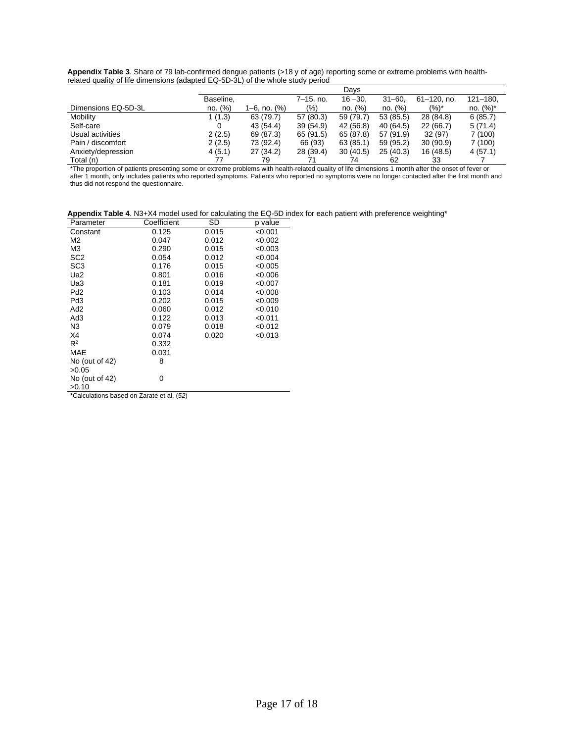| Appendix Table 3. Share of 79 lab-confirmed dengue patients (>18 y of age) reporting some or extreme problems with health- |  |
|----------------------------------------------------------------------------------------------------------------------------|--|
| related quality of life dimensions (adapted EQ-5D-3L) of the whole study period                                            |  |
|                                                                                                                            |  |

|                     |           |                   |             | Days      |           |                  |              |
|---------------------|-----------|-------------------|-------------|-----------|-----------|------------------|--------------|
|                     | Baseline. |                   | $7-15.$ no. | $16 - 30$ | $31 - 60$ | $61 - 120$ . no. | $121 - 180.$ |
| Dimensions EQ-5D-3L | no. (%)   | $1-6$ , no. $(%)$ | (%)         | no. (%)   | no. (%)   | $(%)^*$          | no. $(\%)^*$ |
| Mobility            | 1(1.3)    | 63 (79.7)         | 57 (80.3)   | 59 (79.7) | 53 (85.5) | 28 (84.8)        | 6(85.7)      |
| Self-care           |           | 43 (54.4)         | 39 (54.9)   | 42 (56.8) | 40 (64.5) | 22(66.7)         | 5(71.4)      |
| Usual activities    | 2(2.5)    | 69 (87.3)         | 65 (91.5)   | 65 (87.8) | 57 (91.9) | 32(97)           | 7 (100)      |
| Pain / discomfort   | 2(2.5)    | 73 (92.4)         | 66 (93)     | 63 (85.1) | 59 (95.2) | 30(90.9)         | 7(100)       |
| Anxiety/depression  | 4(5.1)    | 27 (34.2)         | 28 (39.4)   | 30(40.5)  | 25(40.3)  | 16 (48.5)        | 4(57.1)      |
| Total (n)           |           | 79                |             | 74        | 62        | 33               |              |

\*The proportion of patients presenting some or extreme problems with health-related quality of life dimensions 1 month after the onset of fever or after 1 month, only includes patients who reported symptoms. Patients who reported no symptoms were no longer contacted after the first month and thus did not respond the questionnaire.

|                      |             |      |         | Appendix Table 4. N3+X4 model used for calculating the EQ-5D index for each patient with preference weighting* |
|----------------------|-------------|------|---------|----------------------------------------------------------------------------------------------------------------|
| Parameter            | Coefficient | -SD. | p value |                                                                                                                |
| $\sim$ $\sim$ $\sim$ |             |      |         |                                                                                                                |

| Parameter                                 | Coefficient | SD    | p value |
|-------------------------------------------|-------------|-------|---------|
| Constant                                  | 0.125       | 0.015 | < 0.001 |
| M2                                        | 0.047       | 0.012 | < 0.002 |
| MЗ                                        | 0.290       | 0.015 | < 0.003 |
| SC <sub>2</sub>                           | 0.054       | 0.012 | < 0.004 |
| SC3                                       | 0.176       | 0.015 | < 0.005 |
| Ua2                                       | 0.801       | 0.016 | <0.006  |
| Ua3                                       | 0.181       | 0.019 | < 0.007 |
| Pd2                                       | 0.103       | 0.014 | < 0.008 |
| Pd3                                       | 0.202       | 0.015 | < 0.009 |
| Ad2                                       | 0.060       | 0.012 | < 0.010 |
| Ad3                                       | 0.122       | 0.013 | < 0.011 |
| N3                                        | 0.079       | 0.018 | < 0.012 |
| X4                                        | 0.074       | 0.020 | < 0.013 |
| $R^2$                                     | 0.332       |       |         |
| MAE                                       | 0.031       |       |         |
| No (out of $42$ )                         | 8           |       |         |
| >0.05                                     |             |       |         |
| No (out of 42)                            | 0           |       |         |
| >0.10                                     |             |       |         |
| *Colculations based on Zarate et al. (52) |             |       |         |

\*Calculations based on Zarate et al. (*52*)